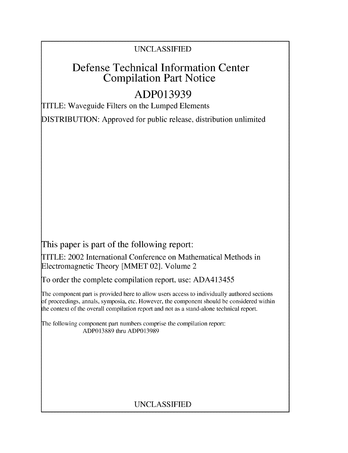## UNCLASSIFIED

# Defense Technical Information Center Compilation Part Notice

# **ADP013939**

TITLE: Waveguide Filters on the Lumped Elements

DISTRIBUTION: Approved for public release, distribution unlimited

This paper is part of the following report:

TITLE: 2002 International Conference on Mathematical Methods in Electromagnetic Theory [MMET 02]. Volume 2

To order the complete compilation report, use: ADA413455

The component part is provided here to allow users access to individually authored sections f proceedings, annals, symposia, etc. However, the component should be considered within the context of the overall compilation report and not as a stand-alone technical report.

The following component part numbers comprise the compilation report: ADP013889 thru ADP013989

## UNCLASSIFIED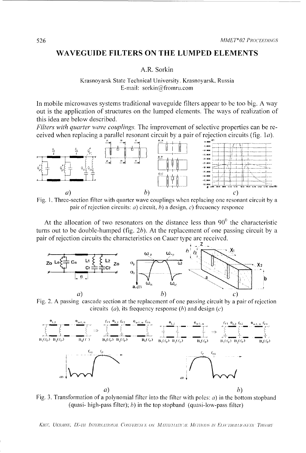### WAVEGUIDE FILTERS ON THE LUMPED ELEMENTS

#### A.R. Sorkin

#### Krasnoyarsk State Technical University. Krasnoyarsk, Russia E-mail: sorkin@fromru.com

In mobile microwaves systems traditional waveguide filters appear to be too big. A way out is the application of structures on the lumped elements. The ways of realization of this idea are below described.

Filters with quarter wave couplings. The improvement of selective properties can be received when replacing a parallel resonant circuit by a pair of rejection circuits (fig.  $1a$ ).



Fig. 1. Three-section filter with quarter wave couplings when replacing one resonant circuit by a pair of rejection circuits: *a*) circuit, *b*) a design, *c*) frequency responce

At the allocation of two resonators on the distance less than  $90^0$  the characteristic turns out to be double-humped (fig.  $2b$ ). At the replacement of one passing circuit by a pair of rejection circuits the characteristics on Cauer type are received.



Fig. 2. A passing cascade section at the replacement of one passing circuit by a pair of rejection circuits (*a*), its frequency response (*b*) and design (*c*)



Fig. 3. Transformation of a polynomial filter into the filter with poles:  $a$ ) in the bottom stopband (quasi- high-pass filter); b) in the top stopband (quasi-low-pass filter)

KIEV, UKRAINE, IX-TH INTERNATIONAL CONFERENCE ON MATHEMATICAL METHODS IN ELECTROMAGNETIC THEORY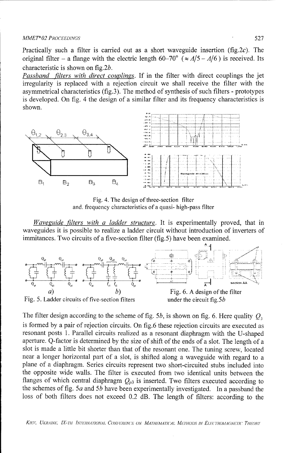#### *MMETh 02 PROCEEDINGS* 527

Practically such a filter is carried out as a short waveguide insertion (fig.2c). The original filter – a flange with the electric length  $60-70^{\circ}$  ( $\approx A/5 - A/6$ ) is received. Its characteristic is shown on fig.2b.

*Passband filters with direct couplings.* If in the filter with direct couplings the jet irregularity is replaced with a rejection circuit we shall receive the filter with the asymmetrical characteristics (fig.3). The method of synthesis of such filters - prototypes is developed. On fig. 4 the design of a similar filter and its frequency characteristics is shown.



Fig. 4. The design of three-section filter and. frequency characteristics of a quasi- high-pass filter

*Waveguide filters with a ladder structure.* It is experimentally proved, that in waveguides it is possible to realize a ladder circuit without introduction of inverters of immitances. Two circuits of a five-section filter (fig.5) have been examined.



The filter design according to the scheme of fig. 5b, is shown on fig. 6. Here quality  $Q_3$ is formed by a pair of rejection circuits. On fig.6 these rejection circuits are executed as resonant posts 1. Parallel circuits realized as a resonant diaphragm with the U-shaped aperture. Q-factor is determined by the size of shift of the ends of a slot. The length of a slot is made a little bit shorter than that of the resonant one. The tuning screw, located near a longer horizontal part of a slot, is shifted along a waveguide with regard to a plane of a diaphragm. Series circuits represent two short-circuited stubs included into the opposite wide walls. The filter is executed from two identical units between the flanges of which central diaphragm  $Q_{p3}$  is inserted. Two filters executed according to the schemes of fig. *5a* and **5b** have been experimentally investigated. In a passband the loss of both filters does not exceed 0.2 dB. The length of filters: according to the